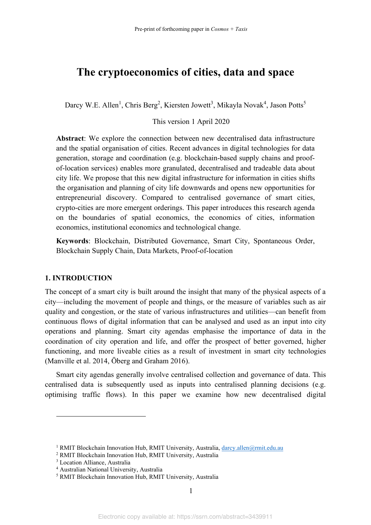# **The cryptoeconomics of cities, data and space**

Darcy W.E. Allen<sup>1</sup>, Chris Berg<sup>2</sup>, Kiersten Jowett<sup>3</sup>, Mikayla Novak<sup>4</sup>, Jason Potts<sup>5</sup>

### This version 1 April 2020

**Abstract**: We explore the connection between new decentralised data infrastructure and the spatial organisation of cities. Recent advances in digital technologies for data generation, storage and coordination (e.g. blockchain-based supply chains and proofof-location services) enables more granulated, decentralised and tradeable data about city life. We propose that this new digital infrastructure for information in cities shifts the organisation and planning of city life downwards and opens new opportunities for entrepreneurial discovery. Compared to centralised governance of smart cities, crypto-cities are more emergent orderings. This paper introduces this research agenda on the boundaries of spatial economics, the economics of cities, information economics, institutional economics and technological change.

**Keywords**: Blockchain, Distributed Governance, Smart City, Spontaneous Order, Blockchain Supply Chain, Data Markets, Proof-of-location

#### **1. INTRODUCTION**

The concept of a smart city is built around the insight that many of the physical aspects of a city—including the movement of people and things, or the measure of variables such as air quality and congestion, or the state of various infrastructures and utilities—can benefit from continuous flows of digital information that can be analysed and used as an input into city operations and planning. Smart city agendas emphasise the importance of data in the coordination of city operation and life, and offer the prospect of better governed, higher functioning, and more liveable cities as a result of investment in smart city technologies (Manville et al. 2014, Öberg and Graham 2016).

Smart city agendas generally involve centralised collection and governance of data. This centralised data is subsequently used as inputs into centralised planning decisions (e.g. optimising traffic flows). In this paper we examine how new decentralised digital

<sup>&</sup>lt;sup>1</sup> RMIT Blockchain Innovation Hub, RMIT University, Australia, darcy.allen@rmit.edu.au

<sup>2</sup> RMIT Blockchain Innovation Hub, RMIT University, Australia

<sup>3</sup> Location Alliance, Australia

<sup>4</sup> Australian National University, Australia

<sup>5</sup> RMIT Blockchain Innovation Hub, RMIT University, Australia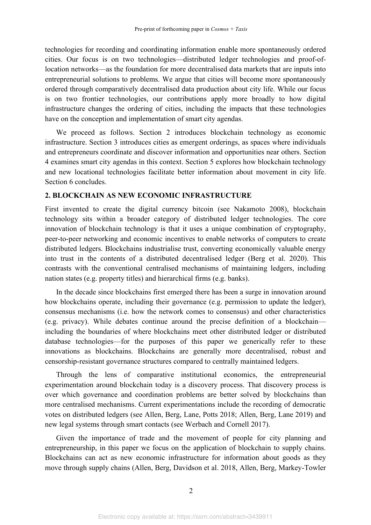technologies for recording and coordinating information enable more spontaneously ordered cities. Our focus is on two technologies—distributed ledger technologies and proof-oflocation networks—as the foundation for more decentralised data markets that are inputs into entrepreneurial solutions to problems. We argue that cities will become more spontaneously ordered through comparatively decentralised data production about city life. While our focus is on two frontier technologies, our contributions apply more broadly to how digital infrastructure changes the ordering of cities, including the impacts that these technologies have on the conception and implementation of smart city agendas.

We proceed as follows. Section 2 introduces blockchain technology as economic infrastructure. Section 3 introduces cities as emergent orderings, as spaces where individuals and entrepreneurs coordinate and discover information and opportunities near others. Section 4 examines smart city agendas in this context. Section 5 explores how blockchain technology and new locational technologies facilitate better information about movement in city life. Section 6 concludes.

#### **2. BLOCKCHAIN AS NEW ECONOMIC INFRASTRUCTURE**

First invented to create the digital currency bitcoin (see Nakamoto 2008), blockchain technology sits within a broader category of distributed ledger technologies. The core innovation of blockchain technology is that it uses a unique combination of cryptography, peer-to-peer networking and economic incentives to enable networks of computers to create distributed ledgers. Blockchains industrialise trust, converting economically valuable energy into trust in the contents of a distributed decentralised ledger (Berg et al. 2020). This contrasts with the conventional centralised mechanisms of maintaining ledgers, including nation states (e.g. property titles) and hierarchical firms (e.g. banks).

In the decade since blockchains first emerged there has been a surge in innovation around how blockchains operate, including their governance (e.g. permission to update the ledger), consensus mechanisms (i.e. how the network comes to consensus) and other characteristics (e.g. privacy). While debates continue around the precise definition of a blockchain including the boundaries of where blockchains meet other distributed ledger or distributed database technologies—for the purposes of this paper we generically refer to these innovations as blockchains. Blockchains are generally more decentralised, robust and censorship-resistant governance structures compared to centrally maintained ledgers.

Through the lens of comparative institutional economics, the entrepreneurial experimentation around blockchain today is a discovery process. That discovery process is over which governance and coordination problems are better solved by blockchains than more centralised mechanisms. Current experimentations include the recording of democratic votes on distributed ledgers (see Allen, Berg, Lane, Potts 2018; Allen, Berg, Lane 2019) and new legal systems through smart contacts (see Werbach and Cornell 2017).

Given the importance of trade and the movement of people for city planning and entrepreneurship, in this paper we focus on the application of blockchain to supply chains. Blockchains can act as new economic infrastructure for information about goods as they move through supply chains (Allen, Berg, Davidson et al. 2018, Allen, Berg, Markey-Towler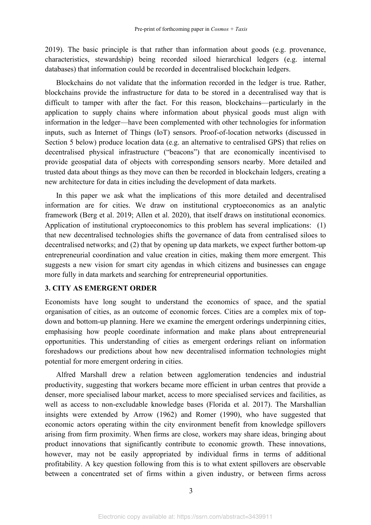2019). The basic principle is that rather than information about goods (e.g. provenance, characteristics, stewardship) being recorded siloed hierarchical ledgers (e.g. internal databases) that information could be recorded in decentralised blockchain ledgers.

Blockchains do not validate that the information recorded in the ledger is true. Rather, blockchains provide the infrastructure for data to be stored in a decentralised way that is difficult to tamper with after the fact. For this reason, blockchains—particularly in the application to supply chains where information about physical goods must align with information in the ledger—have been complemented with other technologies for information inputs, such as Internet of Things (IoT) sensors. Proof-of-location networks (discussed in Section 5 below) produce location data (e.g. an alternative to centralised GPS) that relies on decentralised physical infrastructure ("beacons") that are economically incentivised to provide geospatial data of objects with corresponding sensors nearby. More detailed and trusted data about things as they move can then be recorded in blockchain ledgers, creating a new architecture for data in cities including the development of data markets.

In this paper we ask what the implications of this more detailed and decentralised information are for cities. We draw on institutional cryptoeconomics as an analytic framework (Berg et al. 2019; Allen et al. 2020), that itself draws on institutional economics. Application of institutional cryptoeconomics to this problem has several implications: (1) that new decentralised technologies shifts the governance of data from centralised siloes to decentralised networks; and (2) that by opening up data markets, we expect further bottom-up entrepreneurial coordination and value creation in cities, making them more emergent. This suggests a new vision for smart city agendas in which citizens and businesses can engage more fully in data markets and searching for entrepreneurial opportunities.

### **3. CITY AS EMERGENT ORDER**

Economists have long sought to understand the economics of space, and the spatial organisation of cities, as an outcome of economic forces. Cities are a complex mix of topdown and bottom-up planning. Here we examine the emergent orderings underpinning cities, emphasising how people coordinate information and make plans about entrepreneurial opportunities. This understanding of cities as emergent orderings reliant on information foreshadows our predictions about how new decentralised information technologies might potential for more emergent ordering in cities.

Alfred Marshall drew a relation between agglomeration tendencies and industrial productivity, suggesting that workers became more efficient in urban centres that provide a denser, more specialised labour market, access to more specialised services and facilities, as well as access to non-excludable knowledge bases (Florida et al. 2017). The Marshallian insights were extended by Arrow (1962) and Romer (1990), who have suggested that economic actors operating within the city environment benefit from knowledge spillovers arising from firm proximity. When firms are close, workers may share ideas, bringing about product innovations that significantly contribute to economic growth. These innovations, however, may not be easily appropriated by individual firms in terms of additional profitability. A key question following from this is to what extent spillovers are observable between a concentrated set of firms within a given industry, or between firms across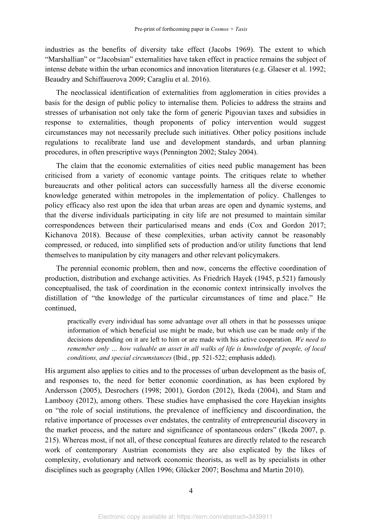industries as the benefits of diversity take effect (Jacobs 1969). The extent to which "Marshallian" or "Jacobsian" externalities have taken effect in practice remains the subject of intense debate within the urban economics and innovation literatures (e.g. Glaeser et al. 1992; Beaudry and Schiffauerova 2009; Caragliu et al. 2016).

The neoclassical identification of externalities from agglomeration in cities provides a basis for the design of public policy to internalise them. Policies to address the strains and stresses of urbanisation not only take the form of generic Pigouvian taxes and subsidies in response to externalities, though proponents of policy intervention would suggest circumstances may not necessarily preclude such initiatives. Other policy positions include regulations to recalibrate land use and development standards, and urban planning procedures, in often prescriptive ways (Pennington 2002; Staley 2004).

The claim that the economic externalities of cities need public management has been criticised from a variety of economic vantage points. The critiques relate to whether bureaucrats and other political actors can successfully harness all the diverse economic knowledge generated within metropoles in the implementation of policy. Challenges to policy efficacy also rest upon the idea that urban areas are open and dynamic systems, and that the diverse individuals participating in city life are not presumed to maintain similar correspondences between their particularised means and ends (Cox and Gordon 2017; Kichanova 2018). Because of these complexities, urban activity cannot be reasonably compressed, or reduced, into simplified sets of production and/or utility functions that lend themselves to manipulation by city managers and other relevant policymakers.

The perennial economic problem, then and now, concerns the effective coordination of production, distribution and exchange activities. As Friedrich Hayek (1945, p.521) famously conceptualised, the task of coordination in the economic context intrinsically involves the distillation of "the knowledge of the particular circumstances of time and place." He continued,

practically every individual has some advantage over all others in that he possesses unique information of which beneficial use might be made, but which use can be made only if the decisions depending on it are left to him or are made with his active cooperation. *We need to Pemember only ... how valuable an asset in all walks of life is knowledge of people, of local in the set in all walks of life is knowledge of people, of local and*  $\alpha$ *... conditions, and special circumstances* (Ibid., pp. 521-522; emphasis added).

His argument also applies to cities and to the processes of urban development as the basis of, and responses to, the need for better economic coordination, as has been explored by Andersson (2005), Desrochers (1998; 2001), Gordon (2012), Ikeda (2004), and Stam and Lambooy (2012), among others. These studies have emphasised the core Hayekian insights on "the role of social institutions, the prevalence of inefficiency and discoordination, the relative importance of processes over endstates, the centrality of entrepreneurial discovery in the market process, and the nature and significance of spontaneous orders" (Ikeda 2007, p. 215). Whereas most, if not all, of these conceptual features are directly related to the research work of contemporary Austrian economists they are also explicated by the likes of complexity, evolutionary and network economic theorists, as well as by specialists in other disciplines such as geography (Allen 1996; Glücker 2007; Boschma and Martin 2010).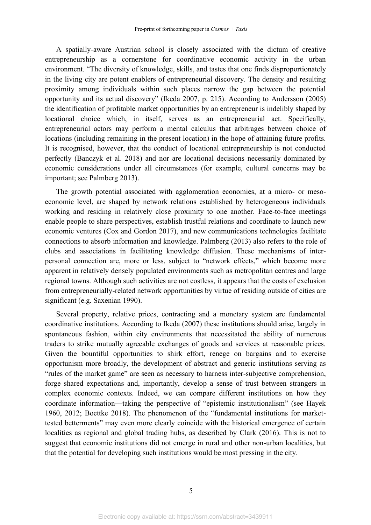A spatially-aware Austrian school is closely associated with the dictum of creative entrepreneurship as a cornerstone for coordinative economic activity in the urban environment. "The diversity of knowledge, skills, and tastes that one finds disproportionately in the living city are potent enablers of entrepreneurial discovery. The density and resulting proximity among individuals within such places narrow the gap between the potential opportunity and its actual discovery" (Ikeda 2007, p. 215). According to Andersson (2005) the identification of profitable market opportunities by an entrepreneur is indelibly shaped by locational choice which, in itself, serves as an entrepreneurial act. Specifically, entrepreneurial actors may perform a mental calculus that arbitrages between choice of locations (including remaining in the present location) in the hope of attaining future profits. It is recognised, however, that the conduct of locational entrepreneurship is not conducted perfectly (Banczyk et al. 2018) and nor are locational decisions necessarily dominated by economic considerations under all circumstances (for example, cultural concerns may be important; see Palmberg 2013).

The growth potential associated with agglomeration economies, at a micro- or mesoeconomic level, are shaped by network relations established by heterogeneous individuals working and residing in relatively close proximity to one another. Face-to-face meetings enable people to share perspectives, establish trustful relations and coordinate to launch new economic ventures (Cox and Gordon 2017), and new communications technologies facilitate connections to absorb information and knowledge. Palmberg (2013) also refers to the role of clubs and associations in facilitating knowledge diffusion. These mechanisms of interpersonal connection are, more or less, subject to "network effects," which become more apparent in relatively densely populated environments such as metropolitan centres and large regional towns. Although such activities are not costless, it appears that the costs of exclusion from entrepreneurially-related network opportunities by virtue of residing outside of cities are significant (e.g. Saxenian 1990).

Several property, relative prices, contracting and a monetary system are fundamental coordinative institutions. According to Ikeda (2007) these institutions should arise, largely in spontaneous fashion, within city environments that necessitated the ability of numerous traders to strike mutually agreeable exchanges of goods and services at reasonable prices. Given the bountiful opportunities to shirk effort, renege on bargains and to exercise opportunism more broadly, the development of abstract and generic institutions serving as "rules of the market game" are seen as necessary to harness inter-subjective comprehension, forge shared expectations and, importantly, develop a sense of trust between strangers in complex economic contexts. Indeed, we can compare different institutions on how they coordinate information—taking the perspective of "epistemic institutionalism" (see Hayek 1960, 2012; Boettke 2018). The phenomenon of the "fundamental institutions for markettested betterments" may even more clearly coincide with the historical emergence of certain localities as regional and global trading hubs, as described by Clark (2016). This is not to suggest that economic institutions did not emerge in rural and other non-urban localities, but that the potential for developing such institutions would be most pressing in the city.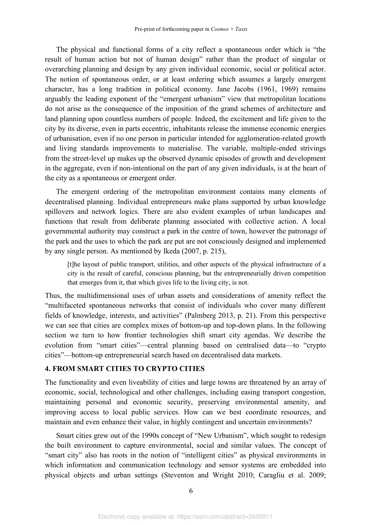The physical and functional forms of a city reflect a spontaneous order which is "the result of human action but not of human design" rather than the product of singular or overarching planning and design by any given individual economic, social or political actor. The notion of spontaneous order, or at least ordering which assumes a largely emergent character, has a long tradition in political economy. Jane Jacobs (1961, 1969) remains arguably the leading exponent of the "emergent urbanism" view that metropolitan locations do not arise as the consequence of the imposition of the grand schemes of architecture and land planning upon countless numbers of people. Indeed, the excitement and life given to the city by its diverse, even in parts eccentric, inhabitants release the immense economic energies of urbanisation, even if no one person in particular intended for agglomeration-related growth and living standards improvements to materialise. The variable, multiple-ended strivings from the street-level up makes up the observed dynamic episodes of growth and development in the aggregate, even if non-intentional on the part of any given individuals, is at the heart of the city as a spontaneous or emergent order.

The emergent ordering of the metropolitan environment contains many elements of decentralised planning. Individual entrepreneurs make plans supported by urban knowledge spillovers and network logics. There are also evident examples of urban landscapes and functions that result from deliberate planning associated with collective action. A local governmental authority may construct a park in the centre of town, however the patronage of the park and the uses to which the park are put are not consciously designed and implemented by any single person. As mentioned by Ikeda (2007, p. 215),

[t]he layout of public transport, utilities, and other aspects of the physical infrastructure of a city is the result of careful, conscious planning, but the entrepreneurially driven competition that emerges from it, that which gives life to the living city, is not.

Thus, the multidimensional uses of urban assets and considerations of amenity reflect the ³multifaceted spontaneous networks that consist of individuals who cover many different fields of knowledge, interests, and activities" (Palmberg 2013, p. 21). From this perspective we can see that cities are complex mixes of bottom-up and top-down plans. In the following section we turn to how frontier technologies shift smart city agendas. We describe the evolution from "smart cities"—central planning based on centralised data—to "crypto" cities´²bottom-up entrepreneurial search based on decentralised data markets.

## **4. FROM SMART CITIES TO CRYPTO CITIES**

The functionality and even liveability of cities and large towns are threatened by an array of economic, social, technological and other challenges, including easing transport congestion, maintaining personal and economic security, preserving environmental amenity, and improving access to local public services. How can we best coordinate resources, and maintain and even enhance their value, in highly contingent and uncertain environments?

Smart cities grew out of the 1990s concept of "New Urbanism", which sought to redesign the built environment to capture environmental, social and similar values. The concept of "smart city" also has roots in the notion of "intelligent cities" as physical environments in which information and communication technology and sensor systems are embedded into physical objects and urban settings (Steventon and Wright 2010; Caragliu et al. 2009;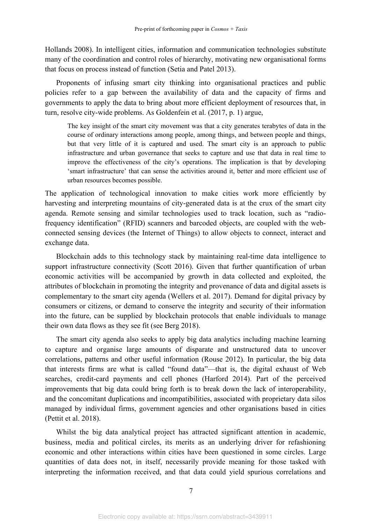Hollands 2008). In intelligent cities, information and communication technologies substitute many of the coordination and control roles of hierarchy, motivating new organisational forms that focus on process instead of function (Setia and Patel 2013).

Proponents of infusing smart city thinking into organisational practices and public policies refer to a gap between the availability of data and the capacity of firms and governments to apply the data to bring about more efficient deployment of resources that, in turn, resolve city-wide problems. As Goldenfein et al. (2017, p. 1) argue,

The key insight of the smart city movement was that a city generates terabytes of data in the course of ordinary interactions among people, among things, and between people and things, but that very little of it is captured and used. The smart city is an approach to public infrastructure and urban governance that seeks to capture and use that data in real time to improve the effectiveness of the city's operations. The implication is that by developing 'smart infrastructure' that can sense the activities around it, better and more efficient use of urban resources becomes possible.

The application of technological innovation to make cities work more efficiently by harvesting and interpreting mountains of city-generated data is at the crux of the smart city agenda. Remote sensing and similar technologies used to track location, such as "radiofrequency identification" (RFID) scanners and barcoded objects, are coupled with the webconnected sensing devices (the Internet of Things) to allow objects to connect, interact and exchange data.

Blockchain adds to this technology stack by maintaining real-time data intelligence to support infrastructure connectivity (Scott 2016). Given that further quantification of urban economic activities will be accompanied by growth in data collected and exploited, the attributes of blockchain in promoting the integrity and provenance of data and digital assets is complementary to the smart city agenda (Wellers et al. 2017). Demand for digital privacy by consumers or citizens, or demand to conserve the integrity and security of their information into the future, can be supplied by blockchain protocols that enable individuals to manage their own data flows as they see fit (see Berg 2018).

The smart city agenda also seeks to apply big data analytics including machine learning to capture and organise large amounts of disparate and unstructured data to uncover correlations, patterns and other useful information (Rouse 2012). In particular, the big data that interests firms are what is called "found data"—that is, the digital exhaust of Web searches, credit-card payments and cell phones (Harford 2014). Part of the perceived improvements that big data could bring forth is to break down the lack of interoperability, and the concomitant duplications and incompatibilities, associated with proprietary data silos managed by individual firms, government agencies and other organisations based in cities (Pettit et al. 2018).

Whilst the big data analytical project has attracted significant attention in academic, business, media and political circles, its merits as an underlying driver for refashioning economic and other interactions within cities have been questioned in some circles. Large quantities of data does not, in itself, necessarily provide meaning for those tasked with interpreting the information received, and that data could yield spurious correlations and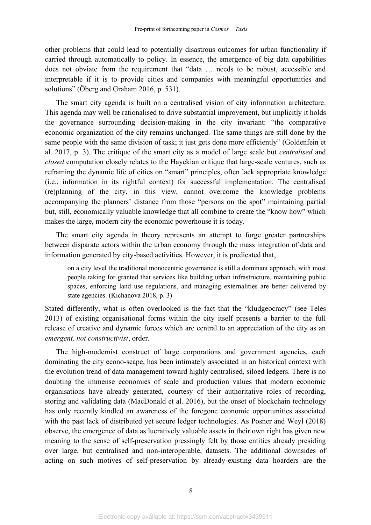other problems that could lead to potentially disastrous outcomes for urban functionality if carried through automatically to policy. In essence, the emergence of big data capabilities does not obviate from the requirement that "data ... needs to be robust, accessible and interpretable if it is to provide cities and companies with meaningful opportunities and solutions" (Öberg and Graham 2016, p. 531).

The smart city agenda is built on a centralised vision of city information architecture. This agenda may well be rationalised to drive substantial improvement, but implicitly it holds the governance surrounding decision-making in the city invariant: "the comparative economic organization of the city remains unchanged. The same things are still done by the same people with the same division of task; it just gets done more efficiently" (Goldenfein et al. 2017, p. 3). The critique of the smart city as a model of large scale but *centralised* and *closed* computation closely relates to the Hayekian critique that large-scale ventures, such as reframing the dynamic life of cities on "smart" principles, often lack appropriate knowledge (i.e., information in its rightful context) for successful implementation. The centralised (re)planning of the city, in this view, cannot overcome the knowledge problems accompanying the planners' distance from those "persons on the spot" maintaining partial but, still, economically valuable knowledge that all combine to create the "know how" which makes the large, modern city the economic powerhouse it is today.

The smart city agenda in theory represents an attempt to forge greater partnerships between disparate actors within the urban economy through the mass integration of data and information generated by city-based activities. However, it is predicated that,

on a city level the traditional monocentric governance is still a dominant approach, with most people taking for granted that services like building urban infrastructure, maintaining public spaces, enforcing land use regulations, and managing externalities are better delivered by state agencies. (Kichanova 2018, p. 3)

Stated differently, what is often overlooked is the fact that the "kludgeocracy" (see Teles 2013) of existing organisational forms within the city itself presents a barrier to the full release of creative and dynamic forces which are central to an appreciation of the city as an *emergent, not constructivist*, order.

The high-modernist construct of large corporations and government agencies, each dominating the city econo-scape, has been intimately associated in an historical context with the evolution trend of data management toward highly centralised, siloed ledgers. There is no doubting the immense economies of scale and production values that modern economic organisations have already generated, courtesy of their authoritative roles of recording, storing and validating data (MacDonald et al. 2016), but the onset of blockchain technology has only recently kindled an awareness of the foregone economic opportunities associated with the past lack of distributed yet secure ledger technologies. As Posner and Weyl (2018) observe, the emergence of data as lucratively valuable assets in their own right has given new meaning to the sense of self-preservation pressingly felt by those entities already presiding over large, but centralised and non-interoperable, datasets. The additional downsides of acting on such motives of self-preservation by already-existing data hoarders are the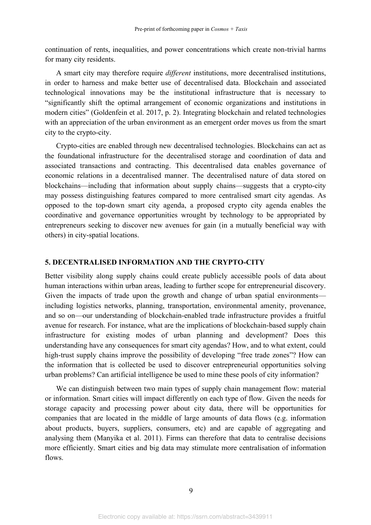continuation of rents, inequalities, and power concentrations which create non-trivial harms for many city residents.

A smart city may therefore require *different* institutions, more decentralised institutions, in order to harness and make better use of decentralised data. Blockchain and associated technological innovations may be the institutional infrastructure that is necessary to ³significantly shift the optimal arrangement of economic organizations and institutions in modern cities" (Goldenfein et al. 2017, p. 2). Integrating blockchain and related technologies with an appreciation of the urban environment as an emergent order moves us from the smart city to the crypto-city.

Crypto-cities are enabled through new decentralised technologies. Blockchains can act as the foundational infrastructure for the decentralised storage and coordination of data and associated transactions and contracting. This decentralised data enables governance of economic relations in a decentralised manner. The decentralised nature of data stored on blockchains—including that information about supply chains—suggests that a crypto-city may possess distinguishing features compared to more centralised smart city agendas. As opposed to the top-down smart city agenda, a proposed crypto city agenda enables the coordinative and governance opportunities wrought by technology to be appropriated by entrepreneurs seeking to discover new avenues for gain (in a mutually beneficial way with others) in city-spatial locations.

#### **5. DECENTRALISED INFORMATION AND THE CRYPTO-CITY**

Better visibility along supply chains could create publicly accessible pools of data about human interactions within urban areas, leading to further scope for entrepreneurial discovery. Given the impacts of trade upon the growth and change of urban spatial environments including logistics networks, planning, transportation, environmental amenity, provenance, and so on—our understanding of blockchain-enabled trade infrastructure provides a fruitful avenue for research. For instance, what are the implications of blockchain-based supply chain infrastructure for existing modes of urban planning and development? Does this understanding have any consequences for smart city agendas? How, and to what extent, could high-trust supply chains improve the possibility of developing "free trade zones"? How can the information that is collected be used to discover entrepreneurial opportunities solving urban problems? Can artificial intelligence be used to mine these pools of city information?

We can distinguish between two main types of supply chain management flow: material or information. Smart cities will impact differently on each type of flow. Given the needs for storage capacity and processing power about city data, there will be opportunities for companies that are located in the middle of large amounts of data flows (e.g. information about products, buyers, suppliers, consumers, etc) and are capable of aggregating and analysing them (Manyika et al. 2011). Firms can therefore that data to centralise decisions more efficiently. Smart cities and big data may stimulate more centralisation of information flows.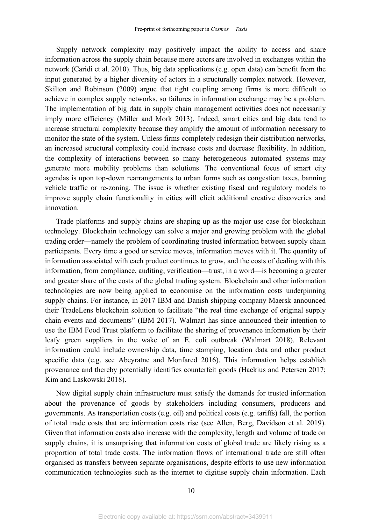Supply network complexity may positively impact the ability to access and share information across the supply chain because more actors are involved in exchanges within the network (Caridi et al. 2010). Thus, big data applications (e.g. open data) can benefit from the input generated by a higher diversity of actors in a structurally complex network. However, Skilton and Robinson (2009) argue that tight coupling among firms is more difficult to achieve in complex supply networks, so failures in information exchange may be a problem. The implementation of big data in supply chain management activities does not necessarily imply more efficiency (Miller and Mork 2013). Indeed, smart cities and big data tend to increase structural complexity because they amplify the amount of information necessary to monitor the state of the system. Unless firms completely redesign their distribution networks, an increased structural complexity could increase costs and decrease flexibility. In addition, the complexity of interactions between so many heterogeneous automated systems may generate more mobility problems than solutions. The conventional focus of smart city agendas is upon top-down rearrangements to urban forms such as congestion taxes, banning vehicle traffic or re-zoning. The issue is whether existing fiscal and regulatory models to improve supply chain functionality in cities will elicit additional creative discoveries and innovation.

Trade platforms and supply chains are shaping up as the major use case for blockchain technology. Blockchain technology can solve a major and growing problem with the global trading order—namely the problem of coordinating trusted information between supply chain participants. Every time a good or service moves, information moves with it. The quantity of information associated with each product continues to grow, and the costs of dealing with this information, from compliance, auditing, verification—trust, in a word—is becoming a greater and greater share of the costs of the global trading system. Blockchain and other information technologies are now being applied to economise on the information costs underpinning supply chains. For instance, in 2017 IBM and Danish shipping company Maersk announced their TradeLens blockchain solution to facilitate "the real time exchange of original supply chain events and documents" (IBM 2017). Walmart has since announced their intention to use the IBM Food Trust platform to facilitate the sharing of provenance information by their leafy green suppliers in the wake of an E. coli outbreak (Walmart 2018). Relevant information could include ownership data, time stamping, location data and other product specific data (e.g. see Abeyratne and Monfared 2016). This information helps establish provenance and thereby potentially identifies counterfeit goods (Hackius and Petersen 2017; Kim and Laskowski 2018).

New digital supply chain infrastructure must satisfy the demands for trusted information about the provenance of goods by stakeholders including consumers, producers and governments. As transportation costs (e.g. oil) and political costs (e.g. tariffs) fall, the portion of total trade costs that are information costs rise (see Allen, Berg, Davidson et al. 2019). Given that information costs also increase with the complexity, length and volume of trade on supply chains, it is unsurprising that information costs of global trade are likely rising as a proportion of total trade costs. The information flows of international trade are still often organised as transfers between separate organisations, despite efforts to use new information communication technologies such as the internet to digitise supply chain information. Each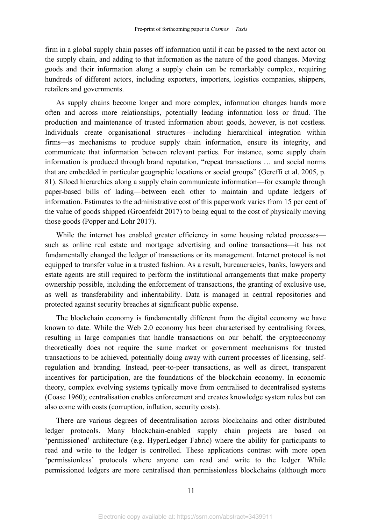firm in a global supply chain passes off information until it can be passed to the next actor on the supply chain, and adding to that information as the nature of the good changes. Moving goods and their information along a supply chain can be remarkably complex, requiring hundreds of different actors, including exporters, importers, logistics companies, shippers, retailers and governments.

As supply chains become longer and more complex, information changes hands more often and across more relationships, potentially leading information loss or fraud. The production and maintenance of trusted information about goods, however, is not costless. Individuals create organisational structures—including hierarchical integration within firms—as mechanisms to produce supply chain information, ensure its integrity, and communicate that information between relevant parties. For instance, some supply chain information is produced through brand reputation, "repeat transactions ... and social norms that are embedded in particular geographic locations or social groups" (Gereffi et al. 2005, p. 81). Siloed hierarchies along a supply chain communicate information—for example through paper-based bills of lading—between each other to maintain and update ledgers of information. Estimates to the administrative cost of this paperwork varies from 15 per cent of the value of goods shipped (Groenfeldt 2017) to being equal to the cost of physically moving those goods (Popper and Lohr 2017).

While the internet has enabled greater efficiency in some housing related processes such as online real estate and mortgage advertising and online transactions²it has not fundamentally changed the ledger of transactions or its management. Internet protocol is not equipped to transfer value in a trusted fashion. As a result, bureaucracies, banks, lawyers and estate agents are still required to perform the institutional arrangements that make property ownership possible, including the enforcement of transactions, the granting of exclusive use, as well as transferability and inheritability. Data is managed in central repositories and protected against security breaches at significant public expense.

The blockchain economy is fundamentally different from the digital economy we have known to date. While the Web 2.0 economy has been characterised by centralising forces, resulting in large companies that handle transactions on our behalf, the cryptoeconomy theoretically does not require the same market or government mechanisms for trusted transactions to be achieved, potentially doing away with current processes of licensing, selfregulation and branding. Instead, peer-to-peer transactions, as well as direct, transparent incentives for participation, are the foundations of the blockchain economy. In economic theory, complex evolving systems typically move from centralised to decentralised systems (Coase 1960); centralisation enables enforcement and creates knowledge system rules but can also come with costs (corruption, inflation, security costs).

There are various degrees of decentralisation across blockchains and other distributed ledger protocols. Many blockchain-enabled supply chain projects are based on 'permissioned' architecture (e.g. HyperLedger Fabric) where the ability for participants to read and write to the ledger is controlled. These applications contrast with more open permissionless' protocols where anyone can read and write to the ledger. While permissioned ledgers are more centralised than permissionless blockchains (although more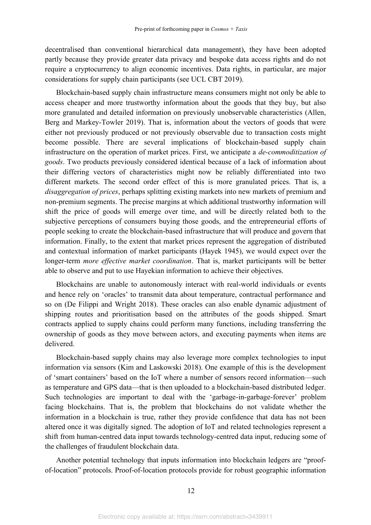decentralised than conventional hierarchical data management), they have been adopted partly because they provide greater data privacy and bespoke data access rights and do not require a cryptocurrency to align economic incentives. Data rights, in particular, are major considerations for supply chain participants (see UCL CBT 2019).

Blockchain-based supply chain infrastructure means consumers might not only be able to access cheaper and more trustworthy information about the goods that they buy, but also more granulated and detailed information on previously unobservable characteristics (Allen, Berg and Markey-Towler 2019). That is, information about the vectors of goods that were either not previously produced or not previously observable due to transaction costs might become possible. There are several implications of blockchain-based supply chain infrastructure on the operation of market prices. First, we anticipate a *de-commoditization of goods*. Two products previously considered identical because of a lack of information about their differing vectors of characteristics might now be reliably differentiated into two different markets. The second order effect of this is more granulated prices. That is, a *disaggregation of prices*, perhaps splitting existing markets into new markets of premium and non-premium segments. The precise margins at which additional trustworthy information will shift the price of goods will emerge over time, and will be directly related both to the subjective perceptions of consumers buying those goods, and the entrepreneurial efforts of people seeking to create the blockchain-based infrastructure that will produce and govern that information. Finally, to the extent that market prices represent the aggregation of distributed and contextual information of market participants (Hayek 1945), we would expect over the longer-term *more effective market coordination*. That is, market participants will be better able to observe and put to use Hayekian information to achieve their objectives.

Blockchains are unable to autonomously interact with real-world individuals or events and hence rely on 'oracles' to transmit data about temperature, contractual performance and so on (De Filippi and Wright 2018). These oracles can also enable dynamic adjustment of shipping routes and prioritisation based on the attributes of the goods shipped. Smart contracts applied to supply chains could perform many functions, including transferring the ownership of goods as they move between actors, and executing payments when items are delivered.

Blockchain-based supply chains may also leverage more complex technologies to input information via sensors (Kim and Laskowski 2018). One example of this is the development of 'smart containers' based on the IoT where a number of sensors record information—such as temperature and GPS data—that is then uploaded to a blockchain-based distributed ledger. Such technologies are important to deal with the 'garbage-in-garbage-forever' problem facing blockchains. That is, the problem that blockchains do not validate whether the information in a blockchain is true, rather they provide confidence that data has not been altered once it was digitally signed. The adoption of IoT and related technologies represent a shift from human-centred data input towards technology-centred data input, reducing some of the challenges of fraudulent blockchain data.

Another potential technology that inputs information into blockchain ledgers are "proofof-location" protocols. Proof-of-location protocols provide for robust geographic information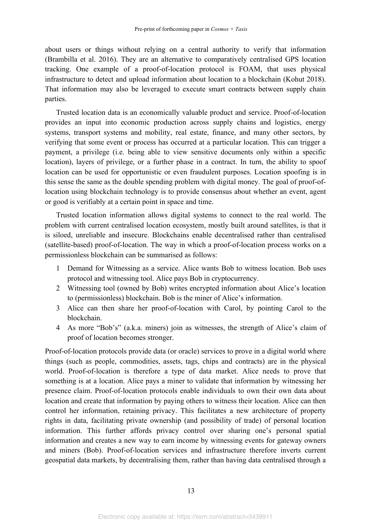about users or things without relying on a central authority to verify that information (Brambilla et al. 2016). They are an alternative to comparatively centralised GPS location tracking. One example of a proof-of-location protocol is FOAM, that uses physical infrastructure to detect and upload information about location to a blockchain (Kohut 2018). That information may also be leveraged to execute smart contracts between supply chain parties.

Trusted location data is an economically valuable product and service. Proof-of-location provides an input into economic production across supply chains and logistics, energy systems, transport systems and mobility, real estate, finance, and many other sectors, by verifying that some event or process has occurred at a particular location. This can trigger a payment, a privilege (i.e. being able to view sensitive documents only within a specific location), layers of privilege, or a further phase in a contract. In turn, the ability to spoof location can be used for opportunistic or even fraudulent purposes. Location spoofing is in this sense the same as the double spending problem with digital money. The goal of proof-oflocation using blockchain technology is to provide consensus about whether an event, agent or good is verifiably at a certain point in space and time.

Trusted location information allows digital systems to connect to the real world. The problem with current centralised location ecosystem, mostly built around satellites, is that it is siloed, unreliable and insecure. Blockchains enable decentralised rather than centralised (satellite-based) proof-of-location. The way in which a proof-of-location process works on a permissionless blockchain can be summarised as follows:

- 1 Demand for Witnessing as a service. Alice wants Bob to witness location. Bob uses protocol and witnessing tool. Alice pays Bob in cryptocurrency.
- 2 Witnessing tool (owned by Bob) writes encrypted information about Alice's location to (permissionless) blockchain. Bob is the miner of Alice's information.
- 3 Alice can then share her proof-of-location with Carol, by pointing Carol to the blockchain.
- 4 As more "Bob's" (a.k.a. miners) join as witnesses, the strength of Alice's claim of proof of location becomes stronger.

Proof-of-location protocols provide data (or oracle) services to prove in a digital world where things (such as people, commodities, assets, tags, chips and contracts) are in the physical world. Proof-of-location is therefore a type of data market. Alice needs to prove that something is at a location. Alice pays a miner to validate that information by witnessing her presence claim. Proof-of-location protocols enable individuals to own their own data about location and create that information by paying others to witness their location. Alice can then control her information, retaining privacy. This facilitates a new architecture of property rights in data, facilitating private ownership (and possibility of trade) of personal location information. This further affords privacy control over sharing one's personal spatial information and creates a new way to earn income by witnessing events for gateway owners and miners (Bob). Proof-of-location services and infrastructure therefore inverts current geospatial data markets, by decentralising them, rather than having data centralised through a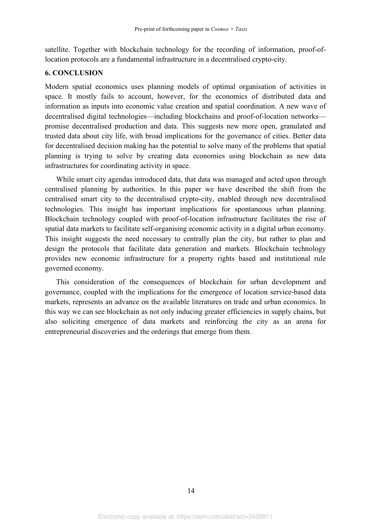satellite. Together with blockchain technology for the recording of information, proof-oflocation protocols are a fundamental infrastructure in a decentralised crypto-city.

#### **6. CONCLUSION**

Modern spatial economics uses planning models of optimal organisation of activities in space. It mostly fails to account, however, for the economics of distributed data and information as inputs into economic value creation and spatial coordination. A new wave of decentralised digital technologies—including blockchains and proof-of-location networks promise decentralised production and data. This suggests new more open, granulated and trusted data about city life, with broad implications for the governance of cities. Better data for decentralised decision making has the potential to solve many of the problems that spatial planning is trying to solve by creating data economies using blockchain as new data infrastructures for coordinating activity in space.

While smart city agendas introduced data, that data was managed and acted upon through centralised planning by authorities. In this paper we have described the shift from the centralised smart city to the decentralised crypto-city, enabled through new decentralised technologies. This insight has important implications for spontaneous urban planning. Blockchain technology coupled with proof-of-location infrastructure facilitates the rise of spatial data markets to facilitate self-organising economic activity in a digital urban economy. This insight suggests the need necessary to centrally plan the city, but rather to plan and design the protocols that facilitate data generation and markets. Blockchain technology provides new economic infrastructure for a property rights based and institutional rule governed economy.

This consideration of the consequences of blockchain for urban development and governance, coupled with the implications for the emergence of location service-based data markets, represents an advance on the available literatures on trade and urban economics. In this way we can see blockchain as not only inducing greater efficiencies in supply chains, but also soliciting emergence of data markets and reinforcing the city as an arena for entrepreneurial discoveries and the orderings that emerge from them.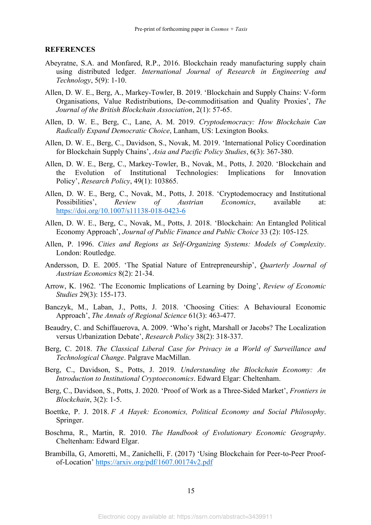#### **REFERENCES**

- Abeyratne, S.A. and Monfared, R.P., 2016. Blockchain ready manufacturing supply chain using distributed ledger. *International Journal of Research in Engineering and Technology*, 5(9): 1-10.
- Allen, D. W. E., Berg, A., Markey-Towler, B. 2019. 'Blockchain and Supply Chains: V-form Organisations, Value Redistributions, De-commoditisation and Quality Proxies', *The Journal of the British Blockchain Association*, 2(1): 57-65.
- Allen, D. W. E., Berg, C., Lane, A. M. 2019. *Cryptodemocracy: How Blockchain Can Radically Expand Democratic Choice*, Lanham, US: Lexington Books.
- Allen, D. W. E., Berg, C., Davidson, S., Novak, M. 2019. 'International Policy Coordination for Blockchain Supply Chains', *Asia and Pacific Policy Studies*, 6(3): 367-380.
- Allen, D. W. E., Berg, C., Markey-Towler, B., Novak, M., Potts, J. 2020. 'Blockchain and the Evolution of Institutional Technologies: Implications for Innovation Policy¶, *Research Policy*, 49(1): 103865.
- Allen, D. W. E., Berg, C., Novak, M., Potts, J. 2018. 'Cryptodemocracy and Institutional Possibilities', *Review of Austrian Economics*, available at: https://doi.org/10.1007/s11138-018-0423-6
- Allen, D. W. E., Berg, C., Novak, M., Potts, J. 2018. 'Blockchain: An Entangled Political Economy Approach', *Journal of Public Finance and Public Choice* 33 (2): 105-125.
- Allen, P. 1996. *Cities and Regions as Self-Organizing Systems: Models of Complexity*. London: Routledge.
- Andersson, D. E. 2005. 'The Spatial Nature of Entrepreneurship', *Quarterly Journal of Austrian Economics* 8(2): 21-34.
- Arrow, K. 1962. 'The Economic Implications of Learning by Doing', *Review of Economic Studies* 29(3): 155-173.
- Banczyk, M., Laban, J., Potts, J. 2018. 'Choosing Cities: A Behavioural Economic Approach', *The Annals of Regional Science* 61(3): 463-477.
- Beaudry, C. and Schiffauerova, A. 2009. 'Who's right, Marshall or Jacobs? The Localization versus Urbanization Debate', *Research Policy* 38(2): 318-337.
- Berg, C. 2018. *The Classical Liberal Case for Privacy in a World of Surveillance and Technological Change*. Palgrave MacMillan.
- Berg, C., Davidson, S., Potts, J. 2019. *Understanding the Blockchain Economy: An Introduction to Institutional Cryptoeconomics*. Edward Elgar: Cheltenham.
- Berg, C., Davidson, S., Potts, J. 2020. 'Proof of Work as a Three-Sided Market', *Frontiers in Blockchain*, 3(2): 1-5.
- Boettke, P. J. 2018. *F A Hayek: Economics, Political Economy and Social Philosophy*. Springer.
- Boschma, R., Martin, R. 2010. *The Handbook of Evolutionary Economic Geography*. Cheltenham: Edward Elgar.
- Brambilla, G, Amoretti, M., Zanichelli, F. (2017) 'Using Blockchain for Peer-to-Peer Proofof-Location' https://arxiv.org/pdf/1607.00174v2.pdf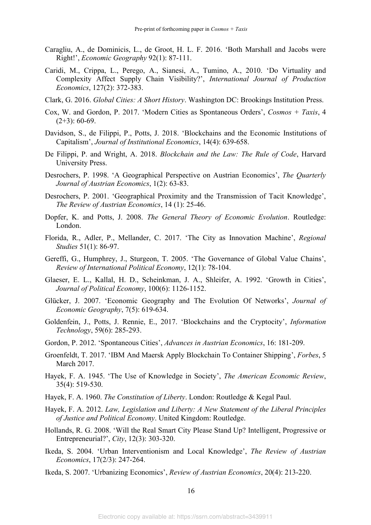- Caragliu, A., de Dominicis, L., de Groot, H. L. F. 2016. 'Both Marshall and Jacobs were Right!¶, *Economic Geography* 92(1): 87-111.
- Caridi, M., Crippa, L., Perego, A., Sianesi, A., Tumino, A., 2010. 'Do Virtuality and Complexity Affect Supply Chain Visibility?', *International Journal of Production Economics*, 127(2): 372-383.
- Clark, G. 2016. *Global Cities: A Short History*. Washington DC: Brookings Institution Press.
- Cox, W. and Gordon, P. 2017. 'Modern Cities as Spontaneous Orders', *Cosmos + Taxis*, 4  $(2+3)$ : 60-69.
- Davidson, S., de Filippi, P., Potts, J. 2018. 'Blockchains and the Economic Institutions of Capitalism¶, *Journal of Institutional Economics*, 14(4): 639-658.
- De Filippi, P. and Wright, A. 2018. *Blockchain and the Law: The Rule of Code*, Harvard University Press.
- Desrochers, P. 1998. 'A Geographical Perspective on Austrian Economics', *The Quarterly Journal of Austrian Economics*, 1(2): 63-83.
- Desrochers, P. 2001. 'Geographical Proximity and the Transmission of Tacit Knowledge', *The Review of Austrian Economics*, 14 (1): 25-46.
- Dopfer, K. and Potts, J. 2008. *The General Theory of Economic Evolution*. Routledge: London.
- Florida, R., Adler, P., Mellander, C. 2017. 'The City as Innovation Machine', *Regional Studies* 51(1): 86-97.
- Gereffi, G., Humphrey, J., Sturgeon, T. 2005. 'The Governance of Global Value Chains', *Review of International Political Economy*, 12(1): 78-104.
- Glaeser, E. L., Kallal, H. D., Scheinkman, J. A., Shleifer, A. 1992. 'Growth in Cities', *Journal of Political Economy*, 100(6): 1126-1152.
- Glücker, J. 2007. 'Economic Geography and The Evolution Of Networks', *Journal of Economic Geography*, 7(5): 619-634.
- Goldenfein, J., Potts, J. Rennie, E., 2017. 'Blockchains and the Cryptocity', *Information Technology*, 59(6): 285-293.
- Gordon, P. 2012. 'Spontaneous Cities', *Advances in Austrian Economics*, 16: 181-209.
- Groenfeldt, T. 2017. 'IBM And Maersk Apply Blockchain To Container Shipping', *Forbes*, 5 March 2017.
- Hayek, F. A. 1945. 'The Use of Knowledge in Society', *The American Economic Review*, 35(4): 519-530.
- Hayek, F. A. 1960. *The Constitution of Liberty*. London: Routledge & Kegal Paul.
- Hayek, F. A. 2012. *Law, Legislation and Liberty: A New Statement of the Liberal Principles of Justice and Political Economy*. United Kingdom: Routledge.
- Hollands, R. G. 2008. 'Will the Real Smart City Please Stand Up? Intelligent, Progressive or Entrepreneurial?¶, *City*, 12(3): 303-320.
- Ikeda, S. 2004. 'Urban Interventionism and Local Knowledge', *The Review of Austrian Economics*, 17(2/3): 247-264.
- Ikeda, S. 2007. 'Urbanizing Economics', *Review of Austrian Economics*, 20(4): 213-220.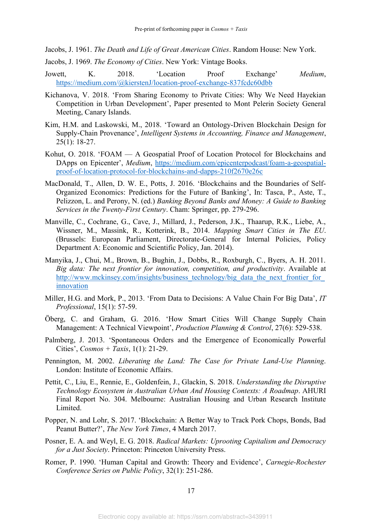Jacobs, J. 1961. *The Death and Life of Great American Cities*. Random House: New York.

- Jacobs, J. 1969. *The Economy of Cities*. New York: Vintage Books.
- Jowett, K. 2018. **Location** Proof Exchange' *Medium*, https://medium.com/@kierstenJ/location-proof-exchange-837fcdc60dbb
- Kichanova, V. 2018. 'From Sharing Economy to Private Cities: Why We Need Hayekian Competition in Urban Development', Paper presented to Mont Pelerin Society General Meeting, Canary Islands.
- Kim, H.M. and Laskowski, M., 2018. 'Toward an Ontology-Driven Blockchain Design for Supply-Chain Provenance', *Intelligent Systems in Accounting, Finance and Management*, 25(1): 18-27.
- Kohut, O. 2018.  $FOAM A$  Geospatial Proof of Location Protocol for Blockchains and DApps on Epicenter', *Medium*, https://medium.com/epicenterpodcast/foam-a-geospatialproof-of-location-protocol-for-blockchains-and-dapps-210f2670e26c
- MacDonald, T., Allen, D. W. E., Potts, J. 2016. 'Blockchains and the Boundaries of Self-Organized Economics: Predictions for the Future of Banking', In: Tasca, P., Aste, T., Pelizzon, L. and Perony, N. (ed.) *Banking Beyond Banks and Money: A Guide to Banking Services in the Twenty-First Century*. Cham: Springer, pp. 279-296.
- Manville, C., Cochrane, G., Cave, J., Millard, J., Pederson, J.K., Thaarup, R.K., Liebe, A., Wissner, M., Massink, R., Kotterink, B., 2014. *Mapping Smart Cities in The EU*. (Brussels: European Parliament, Directorate-General for Internal Policies, Policy Department A: Economic and Scientific Policy, Jan. 2014).
- Manyika, J., Chui, M., Brown, B., Bughin, J., Dobbs, R., Roxburgh, C., Byers, A. H. 2011. *Big data: The next frontier for innovation, competition, and productivity*. Available at http://www.mckinsey.com/insights/business\_technology/big\_data\_the\_next\_frontier\_for innovation
- Miller, H.G. and Mork, P., 2013. 'From Data to Decisions: A Value Chain For Big Data', *IT Professional*, 15(1): 57-59.
- Öberg, C. and Graham, G. 2016. 'How Smart Cities Will Change Supply Chain Management: A Technical Viewpoint', *Production Planning & Control*, 27(6): 529-538.
- Palmberg, J. 2013. 'Spontaneous Orders and the Emergence of Economically Powerful Cities¶, *Cosmos + Taxis*, 1(1): 21-29.
- Pennington, M. 2002. *Liberating the Land: The Case for Private Land-Use Planning*. London: Institute of Economic Affairs.
- Pettit, C., Liu, E., Rennie, E., Goldenfein, J., Glackin, S. 2018. *Understanding the Disruptive Technology Ecosystem in Australian Urban And Housing Contexts: A Roadmap*. AHURI Final Report No. 304. Melbourne: Australian Housing and Urban Research Institute Limited.
- Popper, N. and Lohr, S. 2017. 'Blockchain: A Better Way to Track Pork Chops, Bonds, Bad Peanut Butter?¶, *The New York Times*, 4 March 2017.
- Posner, E. A. and Weyl, E. G. 2018. *Radical Markets: Uprooting Capitalism and Democracy for a Just Society*. Princeton: Princeton University Press.
- Romer, P. 1990. 'Human Capital and Growth: Theory and Evidence', *Carnegie-Rochester Conference Series on Public Policy*, 32(1): 251-286.